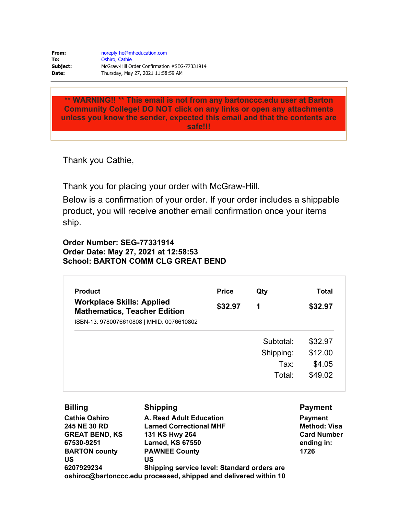| From:    | noreply-he@mheducation.com                   |
|----------|----------------------------------------------|
| To:      | Oshiro, Cathie                               |
| Subject: | McGraw-Hill Order Confirmation #SEG-77331914 |
| Date:    | Thursday, May 27, 2021 11:58:59 AM           |

**\*\* WARNING!! \*\* This email is not from any bartonccc.edu user at Barton Community College! DO NOT click on any links or open any attachments unless you know the sender, expected this email and that the contents are safe!!!**

Thank you Cathie,

Thank you for placing your order with McGraw-Hill.

Below is a confirmation of your order. If your order includes a shippable product, you will receive another email confirmation once your items ship.

## **Order Number: SEG-77331914 Order Date: May 27, 2021 at 12:58:53 School: BARTON COMM CLG GREAT BEND**

| <b>Product</b>                                                                                                       | <b>Price</b> | Qty       | Total   |
|----------------------------------------------------------------------------------------------------------------------|--------------|-----------|---------|
| <b>Workplace Skills: Applied</b><br><b>Mathematics, Teacher Edition</b><br>ISBN-13: 9780076610808   MHID: 0076610802 | \$32.97      | 1         | \$32.97 |
|                                                                                                                      |              | Subtotal: | \$32.97 |
|                                                                                                                      |              | Shipping: | \$12.00 |
|                                                                                                                      |              | Tax:      | \$4.05  |
|                                                                                                                      |              | Total:    | \$49.02 |

| <b>Billing</b>        | <b>Shipping</b>                                                  | <b>Payment</b>      |
|-----------------------|------------------------------------------------------------------|---------------------|
| <b>Cathie Oshiro</b>  | A. Reed Adult Education                                          | <b>Payment</b>      |
| 245 NE 30 RD          | <b>Larned Correctional MHF</b>                                   | <b>Method: Visa</b> |
| <b>GREAT BEND, KS</b> | 131 KS Hwy 264                                                   | <b>Card Number</b>  |
| 67530-9251            | <b>Larned, KS 67550</b>                                          | ending in:          |
| <b>BARTON county</b>  | <b>PAWNEE County</b>                                             | 1726                |
| US                    | US                                                               |                     |
| 6207929234            | Shipping service level: Standard orders are                      |                     |
|                       | oshiroc@bartonccc.edu processed, shipped and delivered within 10 |                     |